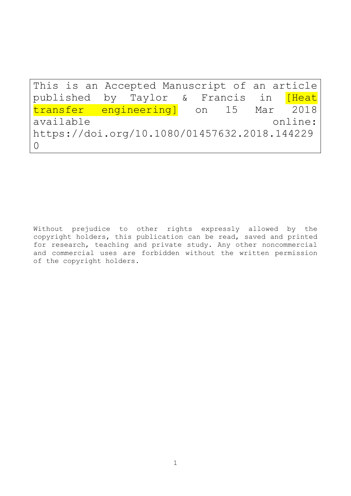This is an Accepted Manuscript of an article published by Taylor & Francis in [Heat transfer engineering] on 15 Mar 2018 available **online**: https://doi.org/10.1080/01457632.2018.144229 0

Without prejudice to other rights expressly allowed by the copyright holders, this publication can be read, saved and printed for research, teaching and private study. Any other noncommercial and commercial uses are forbidden without the written permission of the copyright holders.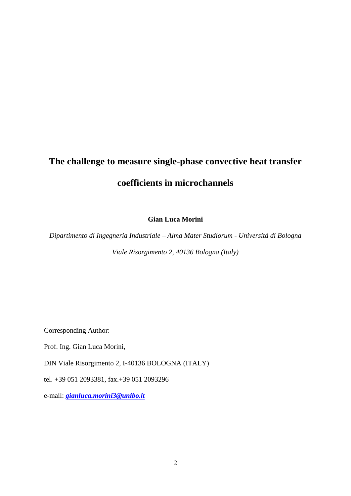# **The challenge to measure single-phase convective heat transfer**

# **coefficients in microchannels**

# **Gian Luca Morini**

*Dipartimento di Ingegneria Industriale – Alma Mater Studiorum - Università di Bologna Viale Risorgimento 2, 40136 Bologna (Italy)*

Corresponding Author:

Prof. Ing. Gian Luca Morini,

DIN Viale Risorgimento 2, I-40136 BOLOGNA (ITALY)

tel. +39 051 2093381, fax.+39 051 2093296

e-mail: *[gianluca.morini3@unibo.it](mailto:gianluca.morini3@unibo.it)*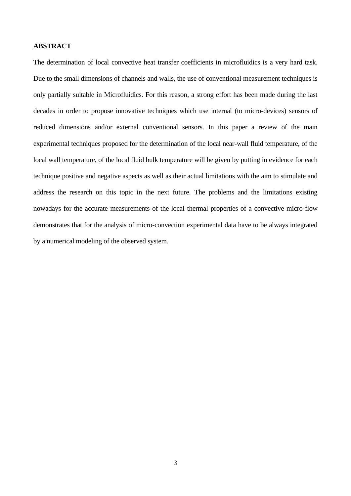#### **ABSTRACT**

The determination of local convective heat transfer coefficients in microfluidics is a very hard task. Due to the small dimensions of channels and walls, the use of conventional measurement techniques is only partially suitable in Microfluidics. For this reason, a strong effort has been made during the last decades in order to propose innovative techniques which use internal (to micro-devices) sensors of reduced dimensions and/or external conventional sensors. In this paper a review of the main experimental techniques proposed for the determination of the local near-wall fluid temperature, of the local wall temperature, of the local fluid bulk temperature will be given by putting in evidence for each technique positive and negative aspects as well as their actual limitations with the aim to stimulate and address the research on this topic in the next future. The problems and the limitations existing nowadays for the accurate measurements of the local thermal properties of a convective micro-flow demonstrates that for the analysis of micro-convection experimental data have to be always integrated by a numerical modeling of the observed system.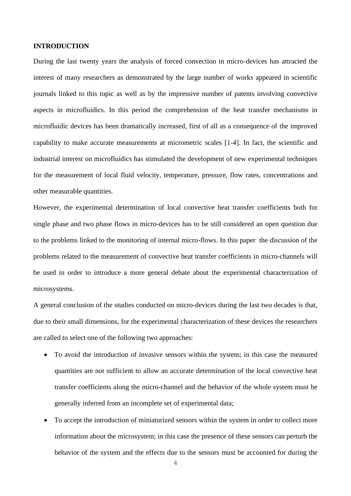#### **INTRODUCTION**

During the last twenty years the analysis of forced convection in micro-devices has attracted the interest of many researchers as demonstrated by the large number of works appeared in scientific journals linked to this topic as well as by the impressive number of patents involving convective aspects in microfluidics. In this period the comprehension of the heat transfer mechanisms in microfluidic devices has been dramatically increased, first of all as a consequence of the improved capability to make accurate measurements at micrometric scales [1-4]. In fact, the scientific and industrial interest on microfluidics has stimulated the development of new experimental techniques for the measurement of local fluid velocity, temperature, pressure, flow rates, concentrations and other measurable quantities.

However, the experimental determination of local convective heat transfer coefficients both for single phase and two phase flows in micro-devices has to be still considered an open question due to the problems linked to the monitoring of internal micro-flows. In this paper the discussion of the problems related to the measurement of convective heat transfer coefficients in micro-channels will be used in order to introduce a more general debate about the experimental characterization of microsystems.

A general conclusion of the studies conducted on micro-devices during the last two decades is that, due to their small dimensions, for the experimental characterization of these devices the researchers are called to select one of the following two approaches:

- To avoid the introduction of invasive sensors within the system; in this case the measured quantities are not sufficient to allow an accurate determination of the local convective heat transfer coefficients along the micro-channel and the behavior of the whole system must be generally inferred from an incomplete set of experimental data;
- To accept the introduction of miniaturized sensors within the system in order to collect more information about the microsystem; in this case the presence of these sensors can perturb the behavior of the system and the effects due to the sensors must be accounted for during the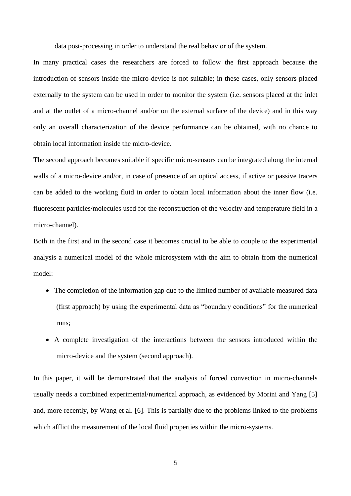data post-processing in order to understand the real behavior of the system.

In many practical cases the researchers are forced to follow the first approach because the introduction of sensors inside the micro-device is not suitable; in these cases, only sensors placed externally to the system can be used in order to monitor the system (i.e. sensors placed at the inlet and at the outlet of a micro-channel and/or on the external surface of the device) and in this way only an overall characterization of the device performance can be obtained, with no chance to obtain local information inside the micro-device.

The second approach becomes suitable if specific micro-sensors can be integrated along the internal walls of a micro-device and/or, in case of presence of an optical access, if active or passive tracers can be added to the working fluid in order to obtain local information about the inner flow (i.e. fluorescent particles/molecules used for the reconstruction of the velocity and temperature field in a micro-channel).

Both in the first and in the second case it becomes crucial to be able to couple to the experimental analysis a numerical model of the whole microsystem with the aim to obtain from the numerical model:

- The completion of the information gap due to the limited number of available measured data (first approach) by using the experimental data as "boundary conditions" for the numerical runs;
- A complete investigation of the interactions between the sensors introduced within the micro-device and the system (second approach).

In this paper, it will be demonstrated that the analysis of forced convection in micro-channels usually needs a combined experimental/numerical approach, as evidenced by Morini and Yang [5] and, more recently, by Wang et al. [6]. This is partially due to the problems linked to the problems which afflict the measurement of the local fluid properties within the micro-systems.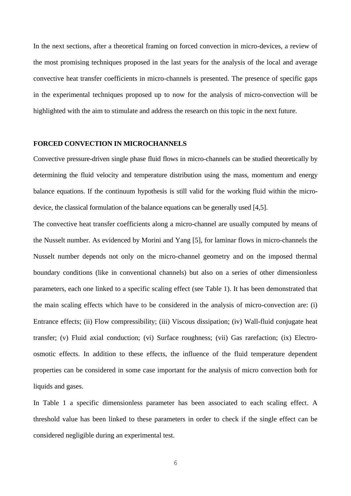In the next sections, after a theoretical framing on forced convection in micro-devices, a review of the most promising techniques proposed in the last years for the analysis of the local and average convective heat transfer coefficients in micro-channels is presented. The presence of specific gaps in the experimental techniques proposed up to now for the analysis of micro-convection will be highlighted with the aim to stimulate and address the research on this topic in the next future.

#### **FORCED CONVECTION IN MICROCHANNELS**

Convective pressure-driven single phase fluid flows in micro-channels can be studied theoretically by determining the fluid velocity and temperature distribution using the mass, momentum and energy balance equations. If the continuum hypothesis is still valid for the working fluid within the microdevice, the classical formulation of the balance equations can be generally used [4,5].

The convective heat transfer coefficients along a micro-channel are usually computed by means of the Nusselt number. As evidenced by Morini and Yang [5], for laminar flows in micro-channels the Nusselt number depends not only on the micro-channel geometry and on the imposed thermal boundary conditions (like in conventional channels) but also on a series of other dimensionless parameters, each one linked to a specific scaling effect (see Table 1). It has been demonstrated that the main scaling effects which have to be considered in the analysis of micro-convection are: (i) Entrance effects; (ii) Flow compressibility; (iii) Viscous dissipation; (iv) Wall-fluid conjugate heat transfer; (v) Fluid axial conduction; (vi) Surface roughness; (vii) Gas rarefaction; (ix) Electroosmotic effects. In addition to these effects, the influence of the fluid temperature dependent properties can be considered in some case important for the analysis of micro convection both for liquids and gases.

In Table 1 a specific dimensionless parameter has been associated to each scaling effect. A threshold value has been linked to these parameters in order to check if the single effect can be considered negligible during an experimental test.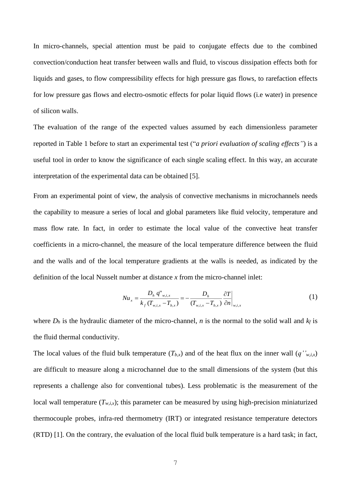In micro-channels, special attention must be paid to conjugate effects due to the combined convection/conduction heat transfer between walls and fluid, to viscous dissipation effects both for liquids and gases, to flow compressibility effects for high pressure gas flows, to rarefaction effects for low pressure gas flows and electro-osmotic effects for polar liquid flows (i.e water) in presence of silicon walls.

The evaluation of the range of the expected values assumed by each dimensionless parameter reported in Table 1 before to start an experimental test ("*a priori evaluation of scaling effects"*) is a useful tool in order to know the significance of each single scaling effect. In this way, an accurate interpretation of the experimental data can be obtained [5].

From an experimental point of view, the analysis of convective mechanisms in microchannels needs the capability to measure a series of local and global parameters like fluid velocity, temperature and mass flow rate. In fact, in order to estimate the local value of the convective heat transfer coefficients in a micro-channel, the measure of the local temperature difference between the fluid and the walls and of the local temperature gradients at the walls is needed, as indicated by the definition of the local Nusselt number at distance *x* from the micro-channel inlet:

$$
Nu_{x} = \frac{D_h q^{n} w_{x,i,x}}{k_f (T_{w,i,x} - T_{b,x})} = -\frac{D_h}{(T_{w,i,x} - T_{b,x})} \frac{\partial T}{\partial n}\Big|_{w,i,x}
$$
(1)

where  $D_h$  is the hydraulic diameter of the micro-channel, *n* is the normal to the solid wall and  $k_f$  is the fluid thermal conductivity.

The local values of the fluid bulk temperature  $(T_{b,x})$  and of the heat flux on the inner wall  $(q''_{w,i,x})$ are difficult to measure along a microchannel due to the small dimensions of the system (but this represents a challenge also for conventional tubes). Less problematic is the measurement of the local wall temperature  $(T_{w,i,x})$ ; this parameter can be measured by using high-precision miniaturized thermocouple probes, infra-red thermometry (IRT) or integrated resistance temperature detectors (RTD) [1]. On the contrary, the evaluation of the local fluid bulk temperature is a hard task; in fact,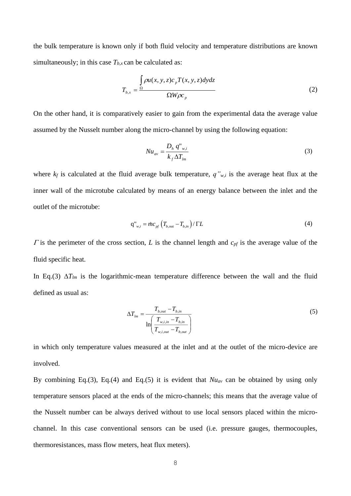the bulk temperature is known only if both fluid velocity and temperature distributions are known simultaneously; in this case  $T_{b.x}$  can be calculated as:

$$
T_{b,x} = \frac{\int_{\Omega} \rho u(x, y, z) c_p T(x, y, z) dy dz}{\Omega W \rho c_p}
$$
 (2)

On the other hand, it is comparatively easier to gain from the experimental data the average value assumed by the Nusselt number along the micro-channel by using the following equation:

$$
Nu_{av} = \frac{D_h q^v_{w,i}}{k_f \Delta T_{lm}}
$$
(3)

where  $k_f$  is calculated at the fluid average bulk temperature,  $q''_{w,i}$  is the average heat flux at the inner wall of the microtube calculated by means of an energy balance between the inlet and the outlet of the microtube:

$$
q^{\prime\prime}_{w,i} = \dot{m}c_{pf} \left( T_{b,out} - T_{b,in} \right) / \Gamma L \tag{4}
$$

 $\Gamma$  is the perimeter of the cross section,  $L$  is the channel length and  $c_{pf}$  is the average value of the fluid specific heat.

In Eq.(3)  $\Delta T_{lm}$  is the logarithmic-mean temperature difference between the wall and the fluid defined as usual as:

$$
\Delta T_{lm} = \frac{T_{b,out} - T_{b,in}}{\ln\left(\frac{T_{w,i,in} - T_{b,in}}{T_{w,i,out} - T_{b,out}}\right)}
$$
(5)

in which only temperature values measured at the inlet and at the outlet of the micro-device are involved.

By combining Eq.(3), Eq.(4) and Eq.(5) it is evident that *Nuav* can be obtained by using only temperature sensors placed at the ends of the micro-channels; this means that the average value of the Nusselt number can be always derived without to use local sensors placed within the microchannel. In this case conventional sensors can be used (i.e. pressure gauges, thermocouples, thermoresistances, mass flow meters, heat flux meters).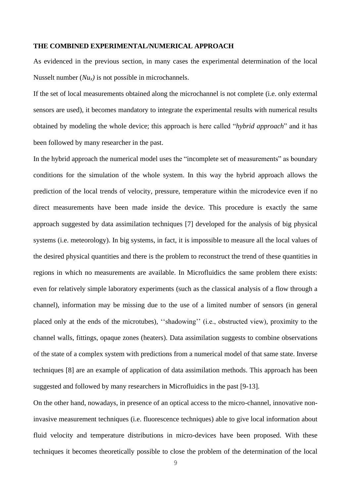#### **THE COMBINED EXPERIMENTAL/NUMERICAL APPROACH**

As evidenced in the previous section, in many cases the experimental determination of the local Nusselt number (*Nux)* is not possible in microchannels.

If the set of local measurements obtained along the microchannel is not complete (i.e. only extermal sensors are used), it becomes mandatory to integrate the experimental results with numerical results obtained by modeling the whole device; this approach is here called "*hybrid approach*" and it has been followed by many researcher in the past.

In the hybrid approach the numerical model uses the "incomplete set of measurements" as boundary conditions for the simulation of the whole system. In this way the hybrid approach allows the prediction of the local trends of velocity, pressure, temperature within the microdevice even if no direct measurements have been made inside the device. This procedure is exactly the same approach suggested by data assimilation techniques [7] developed for the analysis of big physical systems (i.e. meteorology). In big systems, in fact, it is impossible to measure all the local values of the desired physical quantities and there is the problem to reconstruct the trend of these quantities in regions in which no measurements are available. In Microfluidics the same problem there exists: even for relatively simple laboratory experiments (such as the classical analysis of a flow through a channel), information may be missing due to the use of a limited number of sensors (in general placed only at the ends of the microtubes), ''shadowing'' (i.e., obstructed view), proximity to the channel walls, fittings, opaque zones (heaters). Data assimilation suggests to combine observations of the state of a complex system with predictions from a numerical model of that same state. Inverse techniques [8] are an example of application of data assimilation methods. This approach has been suggested and followed by many researchers in Microfluidics in the past [9-13].

On the other hand, nowadays, in presence of an optical access to the micro-channel, innovative noninvasive measurement techniques (i.e. fluorescence techniques) able to give local information about fluid velocity and temperature distributions in micro-devices have been proposed. With these techniques it becomes theoretically possible to close the problem of the determination of the local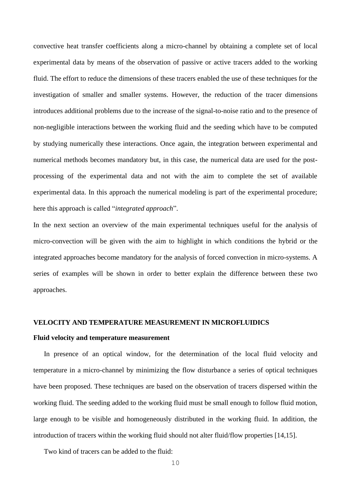convective heat transfer coefficients along a micro-channel by obtaining a complete set of local experimental data by means of the observation of passive or active tracers added to the working fluid. The effort to reduce the dimensions of these tracers enabled the use of these techniques for the investigation of smaller and smaller systems. However, the reduction of the tracer dimensions introduces additional problems due to the increase of the signal-to-noise ratio and to the presence of non-negligible interactions between the working fluid and the seeding which have to be computed by studying numerically these interactions. Once again, the integration between experimental and numerical methods becomes mandatory but, in this case, the numerical data are used for the postprocessing of the experimental data and not with the aim to complete the set of available experimental data. In this approach the numerical modeling is part of the experimental procedure; here this approach is called "*integrated approach*".

In the next section an overview of the main experimental techniques useful for the analysis of micro-convection will be given with the aim to highlight in which conditions the hybrid or the integrated approaches become mandatory for the analysis of forced convection in micro-systems. A series of examples will be shown in order to better explain the difference between these two approaches.

#### **VELOCITY AND TEMPERATURE MEASUREMENT IN MICROFLUIDICS**

#### **Fluid velocity and temperature measurement**

In presence of an optical window, for the determination of the local fluid velocity and temperature in a micro-channel by minimizing the flow disturbance a series of optical techniques have been proposed. These techniques are based on the observation of tracers dispersed within the working fluid. The seeding added to the working fluid must be small enough to follow fluid motion, large enough to be visible and homogeneously distributed in the working fluid. In addition, the introduction of tracers within the working fluid should not alter fluid/flow properties [14,15].

Two kind of tracers can be added to the fluid: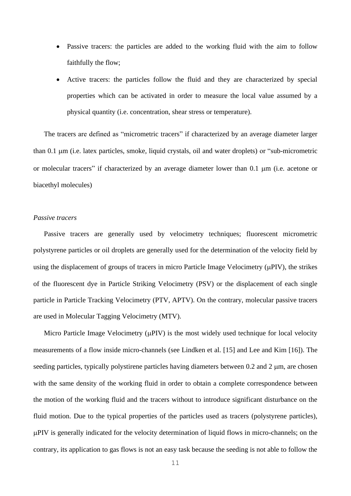- Passive tracers: the particles are added to the working fluid with the aim to follow faithfully the flow;
- Active tracers: the particles follow the fluid and they are characterized by special properties which can be activated in order to measure the local value assumed by a physical quantity (i.e. concentration, shear stress or temperature).

The tracers are defined as "micrometric tracers" if characterized by an average diameter larger than 0.1 m (i.e. latex particles, smoke, liquid crystals, oil and water droplets) or "sub-micrometric or molecular tracers" if characterized by an average diameter lower than 0.1 um (i.e. acetone or biacethyl molecules)

#### *Passive tracers*

Passive tracers are generally used by velocimetry techniques; fluorescent micrometric polystyrene particles or oil droplets are generally used for the determination of the velocity field by using the displacement of groups of tracers in micro Particle Image Velocimetry  $(\mu$ PIV), the strikes of the fluorescent dye in Particle Striking Velocimetry (PSV) or the displacement of each single particle in Particle Tracking Velocimetry (PTV, APTV). On the contrary, molecular passive tracers are used in Molecular Tagging Velocimetry (MTV).

Micro Particle Image Velocimetry  $(\mu$ PIV) is the most widely used technique for local velocity measurements of a flow inside micro-channels (see Lindken et al. [15] and Lee and Kim [16]). The seeding particles, typically polystirene particles having diameters between  $0.2$  and  $2 \mu m$ , are chosen with the same density of the working fluid in order to obtain a complete correspondence between the motion of the working fluid and the tracers without to introduce significant disturbance on the fluid motion. Due to the typical properties of the particles used as tracers (polystyrene particles), PIV is generally indicated for the velocity determination of liquid flows in micro-channels; on the contrary, its application to gas flows is not an easy task because the seeding is not able to follow the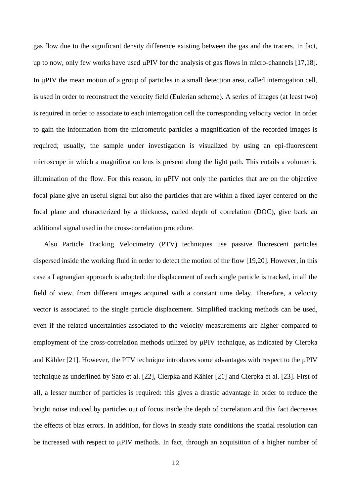gas flow due to the significant density difference existing between the gas and the tracers. In fact, up to now, only few works have used  $\mu$ PIV for the analysis of gas flows in micro-channels [17,18]. In  $\mu$ PIV the mean motion of a group of particles in a small detection area, called interrogation cell, is used in order to reconstruct the velocity field (Eulerian scheme). A series of images (at least two) is required in order to associate to each interrogation cell the corresponding velocity vector. In order to gain the information from the micrometric particles a magnification of the recorded images is required; usually, the sample under investigation is visualized by using an epi-fluorescent microscope in which a magnification lens is present along the light path. This entails a volumetric illumination of the flow. For this reason, in  $\mu$ PIV not only the particles that are on the objective focal plane give an useful signal but also the particles that are within a fixed layer centered on the focal plane and characterized by a thickness, called depth of correlation (DOC), give back an additional signal used in the cross-correlation procedure.

Also Particle Tracking Velocimetry (PTV) techniques use passive fluorescent particles dispersed inside the working fluid in order to detect the motion of the flow [19,20]. However, in this case a Lagrangian approach is adopted: the displacement of each single particle is tracked, in all the field of view, from different images acquired with a constant time delay. Therefore, a velocity vector is associated to the single particle displacement. Simplified tracking methods can be used, even if the related uncertainties associated to the velocity measurements are higher compared to employment of the cross-correlation methods utilized by  $\mu$ PIV technique, as indicated by Cierpka and Kähler  $[21]$ . However, the PTV technique introduces some advantages with respect to the  $\mu$ PIV technique as underlined by Sato et al. [22], Cierpka and Kähler [21] and Cierpka et al. [23]. First of all, a lesser number of particles is required: this gives a drastic advantage in order to reduce the bright noise induced by particles out of focus inside the depth of correlation and this fact decreases the effects of bias errors. In addition, for flows in steady state conditions the spatial resolution can be increased with respect to µPIV methods. In fact, through an acquisition of a higher number of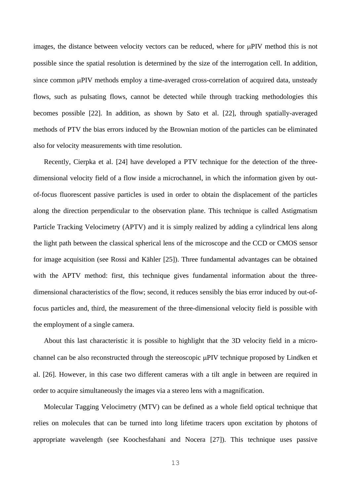images, the distance between velocity vectors can be reduced, where for  $\mu$ PIV method this is not possible since the spatial resolution is determined by the size of the interrogation cell. In addition, since common µPIV methods employ a time-averaged cross-correlation of acquired data, unsteady flows, such as pulsating flows, cannot be detected while through tracking methodologies this becomes possible [22]. In addition, as shown by Sato et al. [22], through spatially-averaged methods of PTV the bias errors induced by the Brownian motion of the particles can be eliminated also for velocity measurements with time resolution.

Recently, Cierpka et al. [24] have developed a PTV technique for the detection of the threedimensional velocity field of a flow inside a microchannel, in which the information given by outof-focus fluorescent passive particles is used in order to obtain the displacement of the particles along the direction perpendicular to the observation plane. This technique is called Astigmatism Particle Tracking Velocimetry (APTV) and it is simply realized by adding a cylindrical lens along the light path between the classical spherical lens of the microscope and the CCD or CMOS sensor for image acquisition (see Rossi and Kähler [25]). Three fundamental advantages can be obtained with the APTV method: first, this technique gives fundamental information about the threedimensional characteristics of the flow; second, it reduces sensibly the bias error induced by out-offocus particles and, third, the measurement of the three-dimensional velocity field is possible with the employment of a single camera.

About this last characteristic it is possible to highlight that the 3D velocity field in a microchannel can be also reconstructed through the stereoscopic  $\mu$ PIV technique proposed by Lindken et al. [26]. However, in this case two different cameras with a tilt angle in between are required in order to acquire simultaneously the images via a stereo lens with a magnification.

Molecular Tagging Velocimetry (MTV) can be defined as a whole field optical technique that relies on molecules that can be turned into long lifetime tracers upon excitation by photons of appropriate wavelength (see Koochesfahani and Nocera [27]). This technique uses passive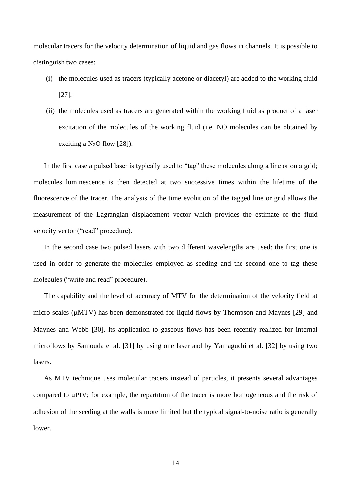molecular tracers for the velocity determination of liquid and gas flows in channels. It is possible to distinguish two cases:

- (i) the molecules used as tracers (typically acetone or diacetyl) are added to the working fluid [27];
- (ii) the molecules used as tracers are generated within the working fluid as product of a laser excitation of the molecules of the working fluid (i.e. NO molecules can be obtained by exciting a  $N_2O$  flow [28]).

In the first case a pulsed laser is typically used to "tag" these molecules along a line or on a grid; molecules luminescence is then detected at two successive times within the lifetime of the fluorescence of the tracer. The analysis of the time evolution of the tagged line or grid allows the measurement of the Lagrangian displacement vector which provides the estimate of the fluid velocity vector ("read" procedure).

In the second case two pulsed lasers with two different wavelengths are used: the first one is used in order to generate the molecules employed as seeding and the second one to tag these molecules ("write and read" procedure).

The capability and the level of accuracy of MTV for the determination of the velocity field at micro scales (MTV) has been demonstrated for liquid flows by Thompson and Maynes [29] and Maynes and Webb [30]. Its application to gaseous flows has been recently realized for internal microflows by Samouda et al. [31] by using one laser and by Yamaguchi et al. [32] by using two lasers.

As MTV technique uses molecular tracers instead of particles, it presents several advantages compared to  $\mu$ PIV; for example, the repartition of the tracer is more homogeneous and the risk of adhesion of the seeding at the walls is more limited but the typical signal-to-noise ratio is generally lower.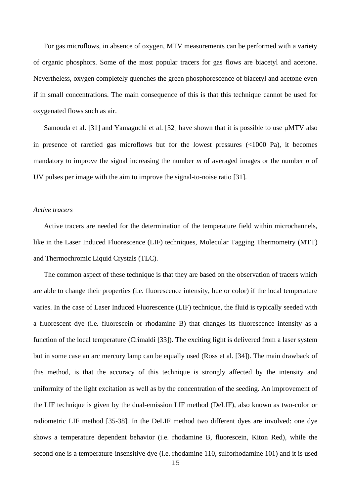For gas microflows, in absence of oxygen, MTV measurements can be performed with a variety of organic phosphors. Some of the most popular tracers for gas flows are biacetyl and acetone. Nevertheless, oxygen completely quenches the green phosphorescence of biacetyl and acetone even if in small concentrations. The main consequence of this is that this technique cannot be used for oxygenated flows such as air.

Samouda et al. [31] and Yamaguchi et al. [32] have shown that it is possible to use  $\mu$ MTV also in presence of rarefied gas microflows but for the lowest pressures (<1000 Pa), it becomes mandatory to improve the signal increasing the number *m* of averaged images or the number *n* of UV pulses per image with the aim to improve the signal-to-noise ratio [31].

#### *Active tracers*

Active tracers are needed for the determination of the temperature field within microchannels, like in the Laser Induced Fluorescence (LIF) techniques, Molecular Tagging Thermometry (MTT) and Thermochromic Liquid Crystals (TLC).

The common aspect of these technique is that they are based on the observation of tracers which are able to change their properties (i.e. fluorescence intensity, hue or color) if the local temperature varies. In the case of Laser Induced Fluorescence (LIF) technique, the fluid is typically seeded with a fluorescent dye (i.e. fluorescein or rhodamine B) that changes its fluorescence intensity as a function of the local temperature (Crimaldi [33]). The exciting light is delivered from a laser system but in some case an arc mercury lamp can be equally used (Ross et al. [34]). The main drawback of this method, is that the accuracy of this technique is strongly affected by the intensity and uniformity of the light excitation as well as by the concentration of the seeding. An improvement of the LIF technique is given by the dual-emission LIF method (DeLIF), also known as two-color or radiometric LIF method [35-38]. In the DeLIF method two different dyes are involved: one dye shows a temperature dependent behavior (i.e. rhodamine B, fluorescein, Kiton Red), while the second one is a temperature-insensitive dye (i.e. rhodamine 110, sulforhodamine 101) and it is used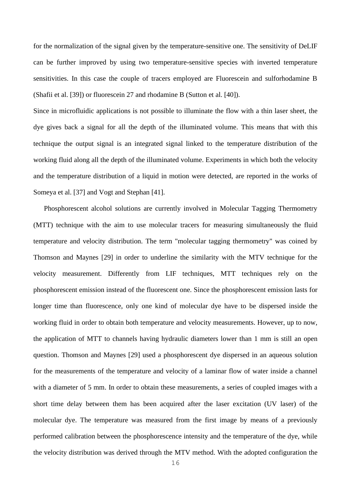for the normalization of the signal given by the temperature-sensitive one. The sensitivity of DeLIF can be further improved by using two temperature-sensitive species with inverted temperature sensitivities. In this case the couple of tracers employed are Fluorescein and sulforhodamine B (Shafii et al. [39]) or fluorescein 27 and rhodamine B (Sutton et al. [40]).

Since in microfluidic applications is not possible to illuminate the flow with a thin laser sheet, the dye gives back a signal for all the depth of the illuminated volume. This means that with this technique the output signal is an integrated signal linked to the temperature distribution of the working fluid along all the depth of the illuminated volume. Experiments in which both the velocity and the temperature distribution of a liquid in motion were detected, are reported in the works of Someya et al. [37] and Vogt and Stephan [41].

Phosphorescent alcohol solutions are currently involved in Molecular Tagging Thermometry (MTT) technique with the aim to use molecular tracers for measuring simultaneously the fluid temperature and velocity distribution. The term "molecular tagging thermometry" was coined by Thomson and Maynes [29] in order to underline the similarity with the MTV technique for the velocity measurement. Differently from LIF techniques, MTT techniques rely on the phosphorescent emission instead of the fluorescent one. Since the phosphorescent emission lasts for longer time than fluorescence, only one kind of molecular dye have to be dispersed inside the working fluid in order to obtain both temperature and velocity measurements. However, up to now, the application of MTT to channels having hydraulic diameters lower than 1 mm is still an open question. Thomson and Maynes [29] used a phosphorescent dye dispersed in an aqueous solution for the measurements of the temperature and velocity of a laminar flow of water inside a channel with a diameter of 5 mm. In order to obtain these measurements, a series of coupled images with a short time delay between them has been acquired after the laser excitation (UV laser) of the molecular dye. The temperature was measured from the first image by means of a previously performed calibration between the phosphorescence intensity and the temperature of the dye, while the velocity distribution was derived through the MTV method. With the adopted configuration the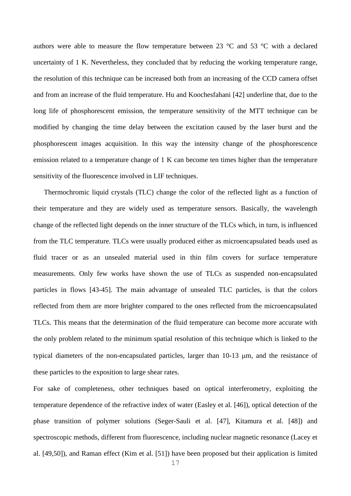authors were able to measure the flow temperature between 23 °C and 53 °C with a declared uncertainty of 1 K. Nevertheless, they concluded that by reducing the working temperature range, the resolution of this technique can be increased both from an increasing of the CCD camera offset and from an increase of the fluid temperature. Hu and Koochesfahani [42] underline that, due to the long life of phosphorescent emission, the temperature sensitivity of the MTT technique can be modified by changing the time delay between the excitation caused by the laser burst and the phosphorescent images acquisition. In this way the intensity change of the phosphorescence emission related to a temperature change of 1 K can become ten times higher than the temperature sensitivity of the fluorescence involved in LIF techniques.

Thermochromic liquid crystals (TLC) change the color of the reflected light as a function of their temperature and they are widely used as temperature sensors. Basically, the wavelength change of the reflected light depends on the inner structure of the TLCs which, in turn, is influenced from the TLC temperature. TLCs were usually produced either as microencapsulated beads used as fluid tracer or as an unsealed material used in thin film covers for surface temperature measurements. Only few works have shown the use of TLCs as suspended non-encapsulated particles in flows [43-45]. The main advantage of unsealed TLC particles, is that the colors reflected from them are more brighter compared to the ones reflected from the microencapsulated TLCs. This means that the determination of the fluid temperature can become more accurate with the only problem related to the minimum spatial resolution of this technique which is linked to the typical diameters of the non-encapsulated particles, larger than 10-13  $\mu$ m, and the resistance of these particles to the exposition to large shear rates.

For sake of completeness, other techniques based on optical interferometry, exploiting the temperature dependence of the refractive index of water (Easley et al. [46]), optical detection of the phase transition of polymer solutions (Seger-Sauli et al. [47], Kitamura et al. [48]) and spectroscopic methods, different from fluorescence, including nuclear magnetic resonance (Lacey et al. [49,50]), and Raman effect (Kim et al. [51]) have been proposed but their application is limited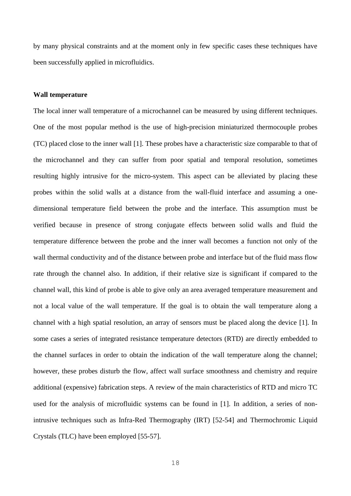by many physical constraints and at the moment only in few specific cases these techniques have been successfully applied in microfluidics.

#### **Wall temperature**

The local inner wall temperature of a microchannel can be measured by using different techniques. One of the most popular method is the use of high-precision miniaturized thermocouple probes (TC) placed close to the inner wall [1]. These probes have a characteristic size comparable to that of the microchannel and they can suffer from poor spatial and temporal resolution, sometimes resulting highly intrusive for the micro-system. This aspect can be alleviated by placing these probes within the solid walls at a distance from the wall-fluid interface and assuming a onedimensional temperature field between the probe and the interface. This assumption must be verified because in presence of strong conjugate effects between solid walls and fluid the temperature difference between the probe and the inner wall becomes a function not only of the wall thermal conductivity and of the distance between probe and interface but of the fluid mass flow rate through the channel also. In addition, if their relative size is significant if compared to the channel wall, this kind of probe is able to give only an area averaged temperature measurement and not a local value of the wall temperature. If the goal is to obtain the wall temperature along a channel with a high spatial resolution, an array of sensors must be placed along the device [1]. In some cases a series of integrated resistance temperature detectors (RTD) are directly embedded to the channel surfaces in order to obtain the indication of the wall temperature along the channel; however, these probes disturb the flow, affect wall surface smoothness and chemistry and require additional (expensive) fabrication steps. A review of the main characteristics of RTD and micro TC used for the analysis of microfluidic systems can be found in [1]. In addition, a series of nonintrusive techniques such as Infra-Red Thermography (IRT) [52-54] and Thermochromic Liquid Crystals (TLC) have been employed [55-57].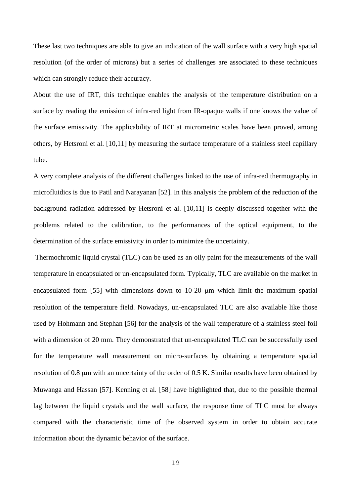These last two techniques are able to give an indication of the wall surface with a very high spatial resolution (of the order of microns) but a series of challenges are associated to these techniques which can strongly reduce their accuracy.

About the use of IRT, this technique enables the analysis of the temperature distribution on a surface by reading the emission of infra-red light from IR-opaque walls if one knows the value of the surface emissivity. The applicability of IRT at micrometric scales have been proved, among others, by Hetsroni et al. [10,11] by measuring the surface temperature of a stainless steel capillary tube.

A very complete analysis of the different challenges linked to the use of infra-red thermography in microfluidics is due to Patil and Narayanan [52]. In this analysis the problem of the reduction of the background radiation addressed by Hetsroni et al. [10,11] is deeply discussed together with the problems related to the calibration, to the performances of the optical equipment, to the determination of the surface emissivity in order to minimize the uncertainty.

Thermochromic liquid crystal (TLC) can be used as an oily paint for the measurements of the wall temperature in encapsulated or un-encapsulated form. Typically, TLC are available on the market in encapsulated form  $[55]$  with dimensions down to 10-20  $\mu$ m which limit the maximum spatial resolution of the temperature field. Nowadays, un-encapsulated TLC are also available like those used by Hohmann and Stephan [56] for the analysis of the wall temperature of a stainless steel foil with a dimension of 20 mm. They demonstrated that un-encapsulated TLC can be successfully used for the temperature wall measurement on micro-surfaces by obtaining a temperature spatial resolution of 0.8  $\mu$ m with an uncertainty of the order of 0.5 K. Similar results have been obtained by Muwanga and Hassan [57]. Kenning et al. [58] have highlighted that, due to the possible thermal lag between the liquid crystals and the wall surface, the response time of TLC must be always compared with the characteristic time of the observed system in order to obtain accurate information about the dynamic behavior of the surface.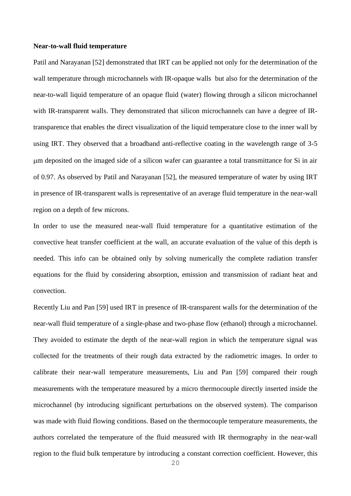#### **Near-to-wall fluid temperature**

Patil and Narayanan [52] demonstrated that IRT can be applied not only for the determination of the wall temperature through microchannels with IR-opaque walls but also for the determination of the near-to-wall liquid temperature of an opaque fluid (water) flowing through a silicon microchannel with IR-transparent walls. They demonstrated that silicon microchannels can have a degree of IRtransparence that enables the direct visualization of the liquid temperature close to the inner wall by using IRT. They observed that a broadband anti-reflective coating in the wavelength range of 3-5 m deposited on the imaged side of a silicon wafer can guarantee a total transmittance for Si in air of 0.97. As observed by Patil and Narayanan [52], the measured temperature of water by using IRT in presence of IR-transparent walls is representative of an average fluid temperature in the near-wall region on a depth of few microns.

In order to use the measured near-wall fluid temperature for a quantitative estimation of the convective heat transfer coefficient at the wall, an accurate evaluation of the value of this depth is needed. This info can be obtained only by solving numerically the complete radiation transfer equations for the fluid by considering absorption, emission and transmission of radiant heat and convection.

Recently Liu and Pan [59] used IRT in presence of IR-transparent walls for the determination of the near-wall fluid temperature of a single-phase and two-phase flow (ethanol) through a microchannel. They avoided to estimate the depth of the near-wall region in which the temperature signal was collected for the treatments of their rough data extracted by the radiometric images. In order to calibrate their near-wall temperature measurements, Liu and Pan [59] compared their rough measurements with the temperature measured by a micro thermocouple directly inserted inside the microchannel (by introducing significant perturbations on the observed system). The comparison was made with fluid flowing conditions. Based on the thermocouple temperature measurements, the authors correlated the temperature of the fluid measured with IR thermography in the near-wall region to the fluid bulk temperature by introducing a constant correction coefficient. However, this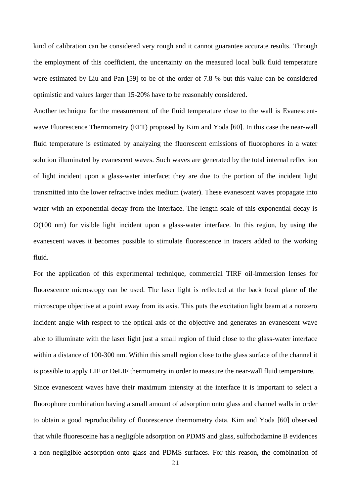kind of calibration can be considered very rough and it cannot guarantee accurate results. Through the employment of this coefficient, the uncertainty on the measured local bulk fluid temperature were estimated by Liu and Pan [59] to be of the order of 7.8 % but this value can be considered optimistic and values larger than 15-20% have to be reasonably considered.

Another technique for the measurement of the fluid temperature close to the wall is Evanescentwave Fluorescence Thermometry (EFT) proposed by Kim and Yoda [60]. In this case the near-wall fluid temperature is estimated by analyzing the fluorescent emissions of fluorophores in a water solution illuminated by evanescent waves. Such waves are generated by the total internal reflection of light incident upon a glass-water interface; they are due to the portion of the incident light transmitted into the lower refractive index medium (water). These evanescent waves propagate into water with an exponential decay from the interface. The length scale of this exponential decay is *O*(100 nm) for visible light incident upon a glass-water interface. In this region, by using the evanescent waves it becomes possible to stimulate fluorescence in tracers added to the working fluid.

For the application of this experimental technique, commercial TIRF oil-immersion lenses for fluorescence microscopy can be used. The laser light is reflected at the back focal plane of the microscope objective at a point away from its axis. This puts the excitation light beam at a nonzero incident angle with respect to the optical axis of the objective and generates an evanescent wave able to illuminate with the laser light just a small region of fluid close to the glass-water interface within a distance of 100-300 nm. Within this small region close to the glass surface of the channel it is possible to apply LIF or DeLIF thermometry in order to measure the near-wall fluid temperature. Since evanescent waves have their maximum intensity at the interface it is important to select a fluorophore combination having a small amount of adsorption onto glass and channel walls in order to obtain a good reproducibility of fluorescence thermometry data. Kim and Yoda [60] observed that while fluoresceine has a negligible adsorption on PDMS and glass, sulforhodamine B evidences a non negligible adsorption onto glass and PDMS surfaces. For this reason, the combination of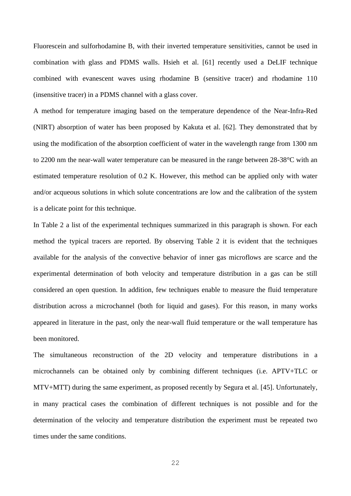Fluorescein and sulforhodamine B, with their inverted temperature sensitivities, cannot be used in combination with glass and PDMS walls. Hsieh et al. [61] recently used a DeLIF technique combined with evanescent waves using rhodamine B (sensitive tracer) and rhodamine 110 (insensitive tracer) in a PDMS channel with a glass cover.

A method for temperature imaging based on the temperature dependence of the Near-Infra-Red (NIRT) absorption of water has been proposed by Kakuta et al. [62]. They demonstrated that by using the modification of the absorption coefficient of water in the wavelength range from 1300 nm to 2200 nm the near-wall water temperature can be measured in the range between 28-38°C with an estimated temperature resolution of 0.2 K. However, this method can be applied only with water and/or acqueous solutions in which solute concentrations are low and the calibration of the system is a delicate point for this technique.

In Table 2 a list of the experimental techniques summarized in this paragraph is shown. For each method the typical tracers are reported. By observing Table 2 it is evident that the techniques available for the analysis of the convective behavior of inner gas microflows are scarce and the experimental determination of both velocity and temperature distribution in a gas can be still considered an open question. In addition, few techniques enable to measure the fluid temperature distribution across a microchannel (both for liquid and gases). For this reason, in many works appeared in literature in the past, only the near-wall fluid temperature or the wall temperature has been monitored.

The simultaneous reconstruction of the 2D velocity and temperature distributions in a microchannels can be obtained only by combining different techniques (i.e. APTV+TLC or MTV+MTT) during the same experiment, as proposed recently by Segura et al. [45]. Unfortunately, in many practical cases the combination of different techniques is not possible and for the determination of the velocity and temperature distribution the experiment must be repeated two times under the same conditions.

22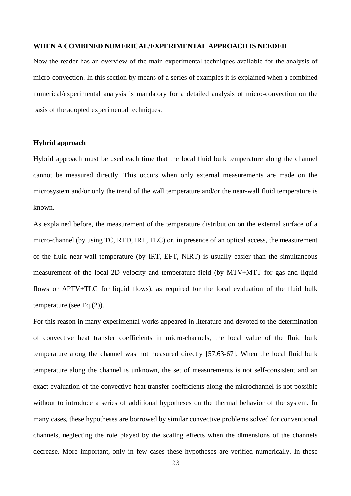#### **WHEN A COMBINED NUMERICAL/EXPERIMENTAL APPROACH IS NEEDED**

Now the reader has an overview of the main experimental techniques available for the analysis of micro-convection. In this section by means of a series of examples it is explained when a combined numerical/experimental analysis is mandatory for a detailed analysis of micro-convection on the basis of the adopted experimental techniques.

#### **Hybrid approach**

Hybrid approach must be used each time that the local fluid bulk temperature along the channel cannot be measured directly. This occurs when only external measurements are made on the microsystem and/or only the trend of the wall temperature and/or the near-wall fluid temperature is known.

As explained before, the measurement of the temperature distribution on the external surface of a micro-channel (by using TC, RTD, IRT, TLC) or, in presence of an optical access, the measurement of the fluid near-wall temperature (by IRT, EFT, NIRT) is usually easier than the simultaneous measurement of the local 2D velocity and temperature field (by MTV+MTT for gas and liquid flows or APTV+TLC for liquid flows), as required for the local evaluation of the fluid bulk temperature (see Eq.(2)).

For this reason in many experimental works appeared in literature and devoted to the determination of convective heat transfer coefficients in micro-channels, the local value of the fluid bulk temperature along the channel was not measured directly [57,63-67]. When the local fluid bulk temperature along the channel is unknown, the set of measurements is not self-consistent and an exact evaluation of the convective heat transfer coefficients along the microchannel is not possible without to introduce a series of additional hypotheses on the thermal behavior of the system. In many cases, these hypotheses are borrowed by similar convective problems solved for conventional channels, neglecting the role played by the scaling effects when the dimensions of the channels decrease. More important, only in few cases these hypotheses are verified numerically. In these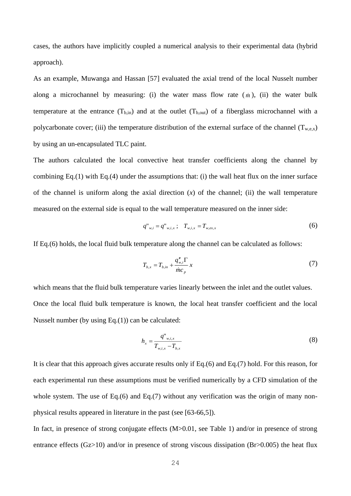cases, the authors have implicitly coupled a numerical analysis to their experimental data (hybrid approach).

As an example, Muwanga and Hassan [57] evaluated the axial trend of the local Nusselt number along a microchannel by measuring: (i) the water mass flow rate  $(m)$ , (ii) the water bulk temperature at the entrance  $(T_{b,in})$  and at the outlet  $(T_{b,out})$  of a fiberglass microchannel with a polycarbonate cover; (iii) the temperature distribution of the external surface of the channel ( $T_{w.e.x}$ ) by using an un-encapsulated TLC paint.

The authors calculated the local convective heat transfer coefficients along the channel by combining Eq.(1) with Eq.(4) under the assumptions that: (i) the wall heat flux on the inner surface of the channel is uniform along the axial direction  $(x)$  of the channel; (ii) the wall temperature measured on the external side is equal to the wall temperature measured on the inner side:

$$
q^{\prime\prime}{}_{w,i} = q^{\prime\prime}{}_{w,i,x} \; ; \quad T_{w,i,x} = T_{w,ex,x} \tag{6}
$$

If Eq.(6) holds, the local fluid bulk temperature along the channel can be calculated as follows:

$$
T_{b,x} = T_{b,in} + \frac{q_{w,i}^T \Gamma}{\dot{m}c_p} x \tag{7}
$$

which means that the fluid bulk temperature varies linearly between the inlet and the outlet values. Once the local fluid bulk temperature is known, the local heat transfer coefficient and the local Nusselt number (by using Eq.(1)) can be calculated:

$$
h_x = \frac{q^v_{w,i,x}}{T_{w,i,x} - T_{b,x}}
$$
(8)

It is clear that this approach gives accurate results only if Eq.(6) and Eq.(7) hold. For this reason, for each experimental run these assumptions must be verified numerically by a CFD simulation of the whole system. The use of Eq.(6) and Eq.(7) without any verification was the origin of many nonphysical results appeared in literature in the past (see [63-66,5]).

In fact, in presence of strong conjugate effects (M>0.01, see Table 1) and/or in presence of strong entrance effects (Gz>10) and/or in presence of strong viscous dissipation (Br>0.005) the heat flux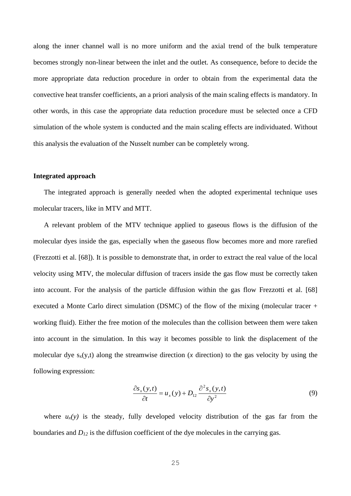along the inner channel wall is no more uniform and the axial trend of the bulk temperature becomes strongly non-linear between the inlet and the outlet. As consequence, before to decide the more appropriate data reduction procedure in order to obtain from the experimental data the convective heat transfer coefficients, an a priori analysis of the main scaling effects is mandatory. In other words, in this case the appropriate data reduction procedure must be selected once a CFD simulation of the whole system is conducted and the main scaling effects are individuated. Without this analysis the evaluation of the Nusselt number can be completely wrong.

#### **Integrated approach**

The integrated approach is generally needed when the adopted experimental technique uses molecular tracers, like in MTV and MTT.

A relevant problem of the MTV technique applied to gaseous flows is the diffusion of the molecular dyes inside the gas, especially when the gaseous flow becomes more and more rarefied (Frezzotti et al. [68]). It is possible to demonstrate that, in order to extract the real value of the local velocity using MTV, the molecular diffusion of tracers inside the gas flow must be correctly taken into account. For the analysis of the particle diffusion within the gas flow Frezzotti et al. [68] executed a Monte Carlo direct simulation (DSMC) of the flow of the mixing (molecular tracer + working fluid). Either the free motion of the molecules than the collision between them were taken into account in the simulation. In this way it becomes possible to link the displacement of the molecular dye  $s_x(y,t)$  along the streamwise direction (*x* direction) to the gas velocity by using the following expression:

$$
\frac{\partial s_x(y,t)}{\partial t} = u_x(y) + D_{12} \frac{\partial^2 s_x(y,t)}{\partial y^2}
$$
\n(9)

where  $u_x(y)$  is the steady, fully developed velocity distribution of the gas far from the boundaries and *D<sup>12</sup>* is the diffusion coefficient of the dye molecules in the carrying gas.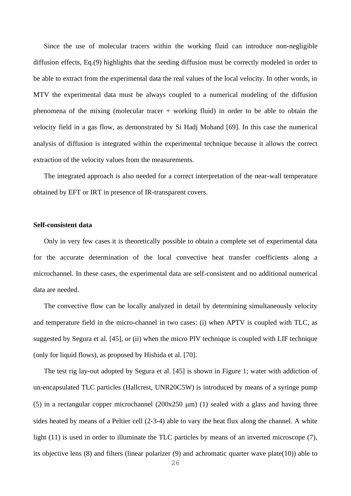Since the use of molecular tracers within the working fluid can introduce non-negligible diffusion effects, Eq.(9) highlights that the seeding diffusion must be correctly modeled in order to be able to extract from the experimental data the real values of the local velocity. In other words, in MTV the experimental data must be always coupled to a numerical modeling of the diffusion phenomena of the mixing (molecular tracer + working fluid) in order to be able to obtain the velocity field in a gas flow, as demonstrated by Si Hadj Mohand [69]. In this case the numerical analysis of diffusion is integrated within the experimental technique because it allows the correct extraction of the velocity values from the measurements.

The integrated approach is also needed for a correct interpretation of the near-wall temperature obtained by EFT or IRT in presence of IR-transparent covers.

#### **Self-consistent data**

Only in very few cases it is theoretically possible to obtain a complete set of experimental data for the accurate determination of the local convective heat transfer coefficients along a microchannel. In these cases, the experimental data are self-consistent and no additional numerical data are needed.

The convective flow can be locally analyzed in detail by determining simultaneously velocity and temperature field in the micro-channel in two cases: (i) when APTV is coupled with TLC, as suggested by Segura et al. [45], or (ii) when the micro PIV technique is coupled with LIF technique (only for liquid flows), as proposed by Hishida et al. [70].

The test rig lay-out adopted by Segura et al. [45] is shown in Figure 1; water with addiction of un-encapsulated TLC particles (Hallcrest, UNR20C5W) is introduced by means of a syringe pump (5) in a rectangular copper microchannel (200x250  $\mu$ m) (1) sealed with a glass and having three sides heated by means of a Peltier cell (2-3-4) able to vary the heat flux along the channel. A white light (11) is used in order to illuminate the TLC particles by means of an inverted microscope (7), its objective lens (8) and filters (linear polarizer (9) and achromatic quarter wave plate(10)) able to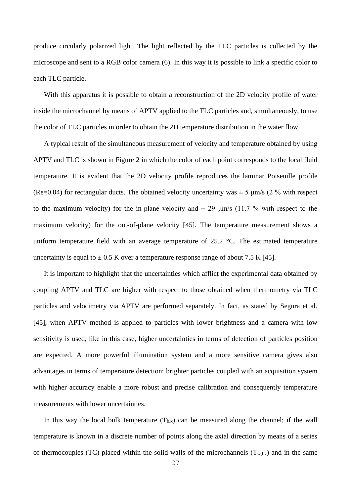produce circularly polarized light. The light reflected by the TLC particles is collected by the microscope and sent to a RGB color camera (6). In this way it is possible to link a specific color to each TLC particle.

With this apparatus it is possible to obtain a reconstruction of the 2D velocity profile of water inside the microchannel by means of APTV applied to the TLC particles and, simultaneously, to use the color of TLC particles in order to obtain the 2D temperature distribution in the water flow.

A typical result of the simultaneous measurement of velocity and temperature obtained by using APTV and TLC is shown in Figure 2 in which the color of each point corresponds to the local fluid temperature. It is evident that the 2D velocity profile reproduces the laminar Poiseuille profile (Re=0.04) for rectangular ducts. The obtained velocity uncertainty was  $\pm$  5 µm/s (2 % with respect to the maximum velocity) for the in-plane velocity and  $\pm$  29  $\mu$ m/s (11.7 % with respect to the maximum velocity) for the out-of-plane velocity [45]. The temperature measurement shows a uniform temperature field with an average temperature of 25.2 °C. The estimated temperature uncertainty is equal to  $\pm$  0.5 K over a temperature response range of about 7.5 K [45].

It is important to highlight that the uncertainties which afflict the experimental data obtained by coupling APTV and TLC are higher with respect to those obtained when thermometry via TLC particles and velocimetry via APTV are performed separately. In fact, as stated by Segura et al. [45], when APTV method is applied to particles with lower brightness and a camera with low sensitivity is used, like in this case, higher uncertainties in terms of detection of particles position are expected. A more powerful illumination system and a more sensitive camera gives also advantages in terms of temperature detection: brighter particles coupled with an acquisition system with higher accuracy enable a more robust and precise calibration and consequently temperature measurements with lower uncertainties.

In this way the local bulk temperature  $(T_{b,x})$  can be measured along the channel; if the wall temperature is known in a discrete number of points along the axial direction by means of a series of thermocouples (TC) placed within the solid walls of the microchannels ( $T_{w,i,x}$ ) and in the same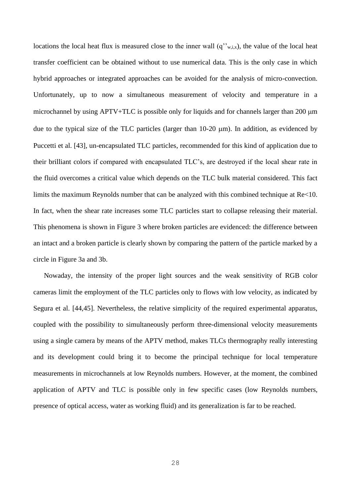locations the local heat flux is measured close to the inner wall  $(q''_{w,i,x})$ , the value of the local heat transfer coefficient can be obtained without to use numerical data. This is the only case in which hybrid approaches or integrated approaches can be avoided for the analysis of micro-convection. Unfortunately, up to now a simultaneous measurement of velocity and temperature in a microchannel by using  $APTV+TLC$  is possible only for liquids and for channels larger than 200  $\mu$ m due to the typical size of the TLC particles (larger than  $10{\text -}20 \mu m$ ). In addition, as evidenced by Puccetti et al. [43], un-encapsulated TLC particles, recommended for this kind of application due to their brilliant colors if compared with encapsulated TLC's, are destroyed if the local shear rate in the fluid overcomes a critical value which depends on the TLC bulk material considered. This fact limits the maximum Reynolds number that can be analyzed with this combined technique at Re<10. In fact, when the shear rate increases some TLC particles start to collapse releasing their material. This phenomena is shown in Figure 3 where broken particles are evidenced: the difference between an intact and a broken particle is clearly shown by comparing the pattern of the particle marked by a circle in Figure 3a and 3b.

Nowaday, the intensity of the proper light sources and the weak sensitivity of RGB color cameras limit the employment of the TLC particles only to flows with low velocity, as indicated by Segura et al. [44,45]. Nevertheless, the relative simplicity of the required experimental apparatus, coupled with the possibility to simultaneously perform three-dimensional velocity measurements using a single camera by means of the APTV method, makes TLCs thermography really interesting and its development could bring it to become the principal technique for local temperature measurements in microchannels at low Reynolds numbers. However, at the moment, the combined application of APTV and TLC is possible only in few specific cases (low Reynolds numbers, presence of optical access, water as working fluid) and its generalization is far to be reached.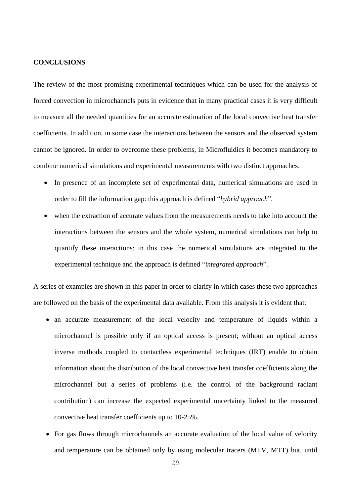#### **CONCLUSIONS**

The review of the most promising experimental techniques which can be used for the analysis of forced convection in microchannels puts in evidence that in many practical cases it is very difficult to measure all the needed quantities for an accurate estimation of the local convective heat transfer coefficients. In addition, in some case the interactions between the sensors and the observed system cannot be ignored. In order to overcome these problems, in Microfluidics it becomes mandatory to combine numerical simulations and experimental measurements with two distinct approaches:

- In presence of an incomplete set of experimental data, numerical simulations are used in order to fill the information gap: this approach is defined "*hybrid approach*".
- when the extraction of accurate values from the measurements needs to take into account the interactions between the sensors and the whole system, numerical simulations can help to quantify these interactions: in this case the numerical simulations are integrated to the experimental technique and the approach is defined "*integrated approach*".

A series of examples are shown in this paper in order to clarify in which cases these two approaches are followed on the basis of the experimental data available. From this analysis it is evident that:

- an accurate measurement of the local velocity and temperature of liquids within a microchannel is possible only if an optical access is present; without an optical access inverse methods coupled to contactless experimental techniques (IRT) enable to obtain information about the distribution of the local convective heat transfer coefficients along the microchannel but a series of problems (i.e. the control of the background radiant contribution) can increase the expected experimental uncertainty linked to the measured convective heat transfer coefficients up to 10-25%.
- For gas flows through microchannels an accurate evaluation of the local value of velocity and temperature can be obtained only by using molecular tracers (MTV, MTT) but, until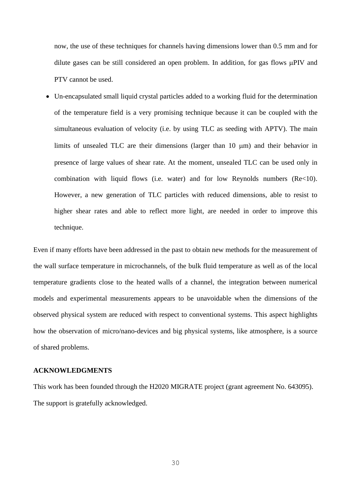now, the use of these techniques for channels having dimensions lower than 0.5 mm and for dilute gases can be still considered an open problem. In addition, for gas flows uPIV and PTV cannot be used.

• Un-encapsulated small liquid crystal particles added to a working fluid for the determination of the temperature field is a very promising technique because it can be coupled with the simultaneous evaluation of velocity (i.e. by using TLC as seeding with APTV). The main limits of unsealed TLC are their dimensions (larger than  $10 \mu m$ ) and their behavior in presence of large values of shear rate. At the moment, unsealed TLC can be used only in combination with liquid flows (i.e. water) and for low Reynolds numbers (Re<10). However, a new generation of TLC particles with reduced dimensions, able to resist to higher shear rates and able to reflect more light, are needed in order to improve this technique.

Even if many efforts have been addressed in the past to obtain new methods for the measurement of the wall surface temperature in microchannels, of the bulk fluid temperature as well as of the local temperature gradients close to the heated walls of a channel, the integration between numerical models and experimental measurements appears to be unavoidable when the dimensions of the observed physical system are reduced with respect to conventional systems. This aspect highlights how the observation of micro/nano-devices and big physical systems, like atmosphere, is a source of shared problems.

#### **ACKNOWLEDGMENTS**

This work has been founded through the H2020 MIGRATE project (grant agreement No. 643095). The support is gratefully acknowledged.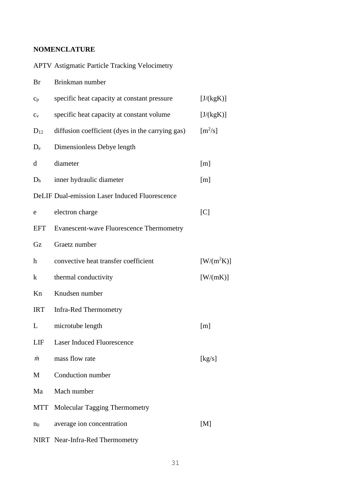# **NOMENCLATURE**

APTV Astigmatic Particle Tracking Velocimetry

| Br                                                    | Brinkman number                                  |              |  |  |  |  |
|-------------------------------------------------------|--------------------------------------------------|--------------|--|--|--|--|
| $c_p$                                                 | specific heat capacity at constant pressure      | [J/(kgK)]    |  |  |  |  |
| $C_V$                                                 | specific heat capacity at constant volume        | [J/(kgK)]    |  |  |  |  |
| $D_{12}$                                              | diffusion coefficient (dyes in the carrying gas) | $[m^2/s]$    |  |  |  |  |
| $D_e$                                                 | Dimensionless Debye length                       |              |  |  |  |  |
| d                                                     | diameter                                         | [m]          |  |  |  |  |
| D <sub>h</sub>                                        | inner hydraulic diameter                         | [m]          |  |  |  |  |
| <b>DeLIF Dual-emission Laser Induced Fluorescence</b> |                                                  |              |  |  |  |  |
| e                                                     | electron charge                                  | [C]          |  |  |  |  |
| <b>EFT</b>                                            | <b>Evanescent-wave Fluorescence Thermometry</b>  |              |  |  |  |  |
| Gz                                                    | Graetz number                                    |              |  |  |  |  |
| h                                                     | convective heat transfer coefficient             | $[W/(m^2K)]$ |  |  |  |  |
| $\bf k$                                               | thermal conductivity                             | [W/(mK)]     |  |  |  |  |
| Kn                                                    | Knudsen number                                   |              |  |  |  |  |
| <b>IRT</b>                                            | <b>Infra-Red Thermometry</b>                     |              |  |  |  |  |
| L                                                     | microtube length                                 | [m]          |  |  |  |  |
| LIF                                                   | <b>Laser Induced Fluorescence</b>                |              |  |  |  |  |
| m                                                     | mass flow rate                                   | [kg/s]       |  |  |  |  |
| M                                                     | Conduction number                                |              |  |  |  |  |
| Ma                                                    | Mach number                                      |              |  |  |  |  |
| MTT                                                   | Molecular Tagging Thermometry                    |              |  |  |  |  |
| $\mathbf{n}_0$                                        | average ion concentration                        | [M]          |  |  |  |  |
|                                                       | NIRT Near-Infra-Red Thermometry                  |              |  |  |  |  |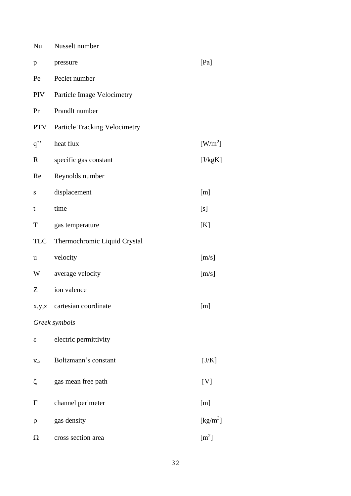| Nu               | Nusselt number                       |                      |  |  |  |
|------------------|--------------------------------------|----------------------|--|--|--|
| p                | pressure                             | [Pa]                 |  |  |  |
| Pe               | Peclet number                        |                      |  |  |  |
| <b>PIV</b>       | Particle Image Velocimetry           |                      |  |  |  |
| Pr               | Prandlt number                       |                      |  |  |  |
| <b>PTV</b>       | <b>Particle Tracking Velocimetry</b> |                      |  |  |  |
| q''              | heat flux                            | $[W/m^2]$            |  |  |  |
| $\mathbf R$      | specific gas constant                | [J/kgK]              |  |  |  |
| Re               | Reynolds number                      |                      |  |  |  |
| ${\bf S}$        | displacement                         | [m]                  |  |  |  |
| t                | time                                 | [s]                  |  |  |  |
| T                | gas temperature                      | [K]                  |  |  |  |
| <b>TLC</b>       | Thermochromic Liquid Crystal         |                      |  |  |  |
| u                | velocity                             | [m/s]                |  |  |  |
| W                | average velocity                     | [m/s]                |  |  |  |
| Z                | ion valence                          |                      |  |  |  |
|                  | x,y,z cartesian coordinate           | [m]                  |  |  |  |
| Greek symbols    |                                      |                      |  |  |  |
| ε                | electric permittivity                |                      |  |  |  |
| $\kappa_{\rm b}$ | Boltzmann's constant                 | [J/K]                |  |  |  |
| ζ                | gas mean free path                   | [V]                  |  |  |  |
| $\Gamma$         | channel perimeter                    | [m]                  |  |  |  |
| $\rho$           | gas density                          | [kg/m <sup>3</sup> ] |  |  |  |
| Ω                | cross section area                   | $\rm [m^2]$          |  |  |  |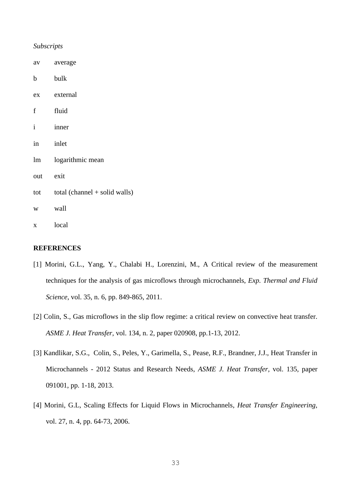#### *Subscripts*

- av average
- b bulk
- ex external
- f fluid
- i inner
- in inlet
- lm logarithmic mean
- out exit
- $\text{total}$  (channel + solid walls)
- w wall
- x local

## **REFERENCES**

- [1] Morini, G.L., Yang, Y., Chalabi H., Lorenzini, M., A Critical review of the measurement techniques for the analysis of gas microflows through microchannels, *Exp. Thermal and Fluid Science*, vol. 35, n. 6, pp. 849-865, 2011.
- [2] Colin, S., Gas microflows in the slip flow regime: a critical review on convective heat transfer. *ASME J. Heat Transfer,* vol. 134, n. 2, paper 020908, pp.1-13, 2012.
- [3] Kandlikar, S.G., Colin, S., Peles, Y., Garimella, S., Pease, R.F., Brandner, J.J., Heat Transfer in Microchannels - 2012 Status and Research Needs, *ASME J. Heat Transfer,* vol. 135, paper 091001, pp. 1-18, 2013.
- [4] Morini, G.L, Scaling Effects for Liquid Flows in Microchannels, *Heat Transfer Engineering,* vol. 27, n. 4, pp. 64-73, 2006.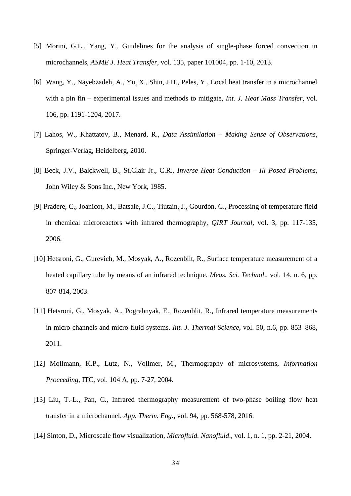- [5] Morini, G.L., Yang, Y., Guidelines for the analysis of single-phase forced convection in microchannels, *ASME J. Heat Transfer*, vol. 135, paper 101004, pp. 1-10, 2013.
- [6] Wang, Y., Nayebzadeh, A., Yu, X., Shin, J.H., Peles, Y., Local heat transfer in a microchannel with a pin fin – experimental issues and methods to mitigate, *Int. J. Heat Mass Transfer*, vol. 106, pp. 1191-1204, 2017.
- [7] Lahos, W., Khattatov, B., Menard, R., *Data Assimilation – Making Sense of Observations*, Springer-Verlag, Heidelberg, 2010.
- [8] Beck, J.V., Balckwell, B., St.Clair Jr., C.R., *Inverse Heat Conduction – Ill Posed Problems*, John Wiley & Sons Inc., New York, 1985.
- [9] Pradere, C., Joanicot, M., Batsale, J.C., Tiutain, J., Gourdon, C., Processing of temperature field in chemical microreactors with infrared thermography, *QIRT Journal*, vol. 3, pp. 117-135, 2006.
- [10] Hetsroni, G., Gurevich, M., Mosyak, A., Rozenblit, R., Surface temperature measurement of a heated capillary tube by means of an infrared technique. *Meas. Sci. Technol*., vol. 14, n. 6, pp. 807-814, 2003.
- [11] Hetsroni, G., Mosyak, A., Pogrebnyak, E., Rozenblit, R., Infrared temperature measurements in micro-channels and micro-fluid systems. *Int. J. Thermal Science*, vol. 50, n.6, pp. 853–868, 2011.
- [12] Mollmann, K.P., Lutz, N., Vollmer, M., Thermography of microsystems, *Information Proceeding*, ITC, vol. 104 A, pp. 7-27, 2004.
- [13] Liu, T.-L., Pan, C., Infrared thermography measurement of two-phase boiling flow heat transfer in a microchannel. *App. Therm. Eng.*, vol. 94, pp. 568-578, 2016.
- [14] Sinton, D., Microscale flow visualization, *Microfluid. Nanofluid*., vol. 1, n. 1, pp. 2-21, 2004.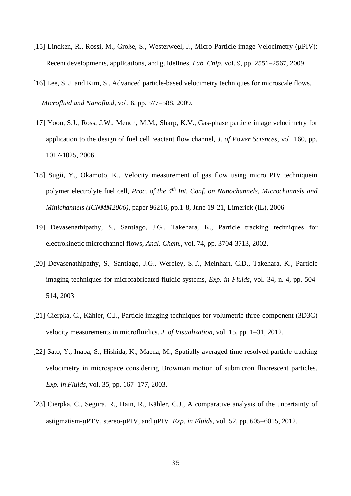- [15] Lindken, R., Rossi, M., Große, S., Westerweel, J., Micro-Particle image Velocimetry (µPIV): Recent developments, applications, and guidelines, *Lab. Chip*, vol. 9, pp. 2551–2567, 2009.
- [16] Lee, S. J. and Kim, S., Advanced particle-based velocimetry techniques for microscale flows. *Microfluid and Nanofluid*, vol. 6, pp. 577–588, 2009.
- [17] Yoon, S.J., Ross, J.W., Mench, M.M., Sharp, K.V., Gas-phase particle image velocimetry for application to the design of fuel cell reactant flow channel, *J. of Power Sciences*, vol. 160, pp. 1017-1025, 2006.
- [18] Sugii, Y., Okamoto, K., Velocity measurement of gas flow using micro PIV techniquein polymer electrolyte fuel cell, *Proc. of the 4<sup>th</sup> Int. Conf. on Nanochannels, Microchannels and Minichannels (ICNMM2006)*, paper 96216, pp.1-8, June 19-21, Limerick (IL), 2006.
- [19] Devasenathipathy, S., Santiago, J.G., Takehara, K., Particle tracking techniques for electrokinetic microchannel flows, *Anal. Chem.,* vol. 74, pp. 3704-3713, 2002.
- [20] Devasenathipathy, S., Santiago, J.G., Wereley, S.T., Meinhart, C.D., Takehara, K., Particle imaging techniques for microfabricated fluidic systems, *Exp. in Fluids*, vol. 34, n. 4, pp. 504- 514, 2003
- [21] Cierpka, C., Kähler, C.J., Particle imaging techniques for volumetric three-component (3D3C) velocity measurements in microfluidics. *J. of Visualization*, vol. 15, pp. 1–31, 2012.
- [22] Sato, Y., Inaba, S., Hishida, K., Maeda, M., Spatially averaged time-resolved particle-tracking velocimetry in microspace considering Brownian motion of submicron fluorescent particles. *Exp. in Fluids*, vol. 35, pp. 167–177, 2003.
- [23] Cierpka, C., Segura, R., Hain, R., Kähler, C.J., A comparative analysis of the uncertainty of astigmatism- $\mu$ PTV, stereo- $\mu$ PIV, and  $\mu$ PIV. *Exp. in Fluids*, vol. 52, pp. 605–6015, 2012.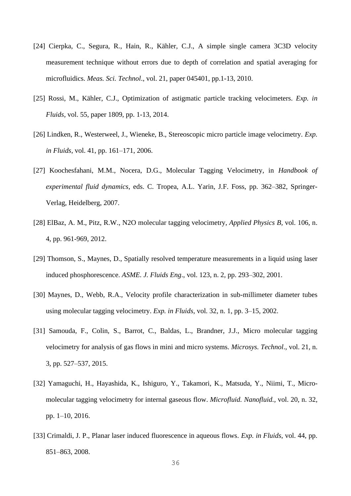- [24] Cierpka, C., Segura, R., Hain, R., Kähler, C.J., A simple single camera 3C3D velocity measurement technique without errors due to depth of correlation and spatial averaging for microfluidics. *Meas. Sci. Technol*., vol. 21, paper 045401, pp.1-13, 2010.
- [25] Rossi, M., Kähler, C.J., Optimization of astigmatic particle tracking velocimeters. *Exp. in Fluids*, vol. 55, paper 1809, pp. 1-13, 2014.
- [26] Lindken, R., Westerweel, J., Wieneke, B., Stereoscopic micro particle image velocimetry. *Exp. in Fluids*, vol. 41, pp. 161–171, 2006.
- [27] Koochesfahani, M.M., Nocera, D.G., Molecular Tagging Velocimetry, in *Handbook of experimental fluid dynamics*, eds. C. Tropea, A.L. Yarin, J.F. Foss, pp. 362–382, Springer-Verlag, Heidelberg, 2007.
- [28] ElBaz, A. M., Pitz, R.W., N2O molecular tagging velocimetry, *Applied Physics B,* vol. 106, n. 4, pp. 961-969, 2012.
- [29] Thomson, S., Maynes, D., Spatially resolved temperature measurements in a liquid using laser induced phosphorescence. *ASME. J. Fluids Eng*., vol. 123, n. 2, pp. 293–302, 2001.
- [30] Maynes, D., Webb, R.A., Velocity profile characterization in sub-millimeter diameter tubes using molecular tagging velocimetry. *Exp. in Fluids*, vol. 32, n. 1, pp. 3–15, 2002.
- [31] Samouda, F., Colin, S., Barrot, C., Baldas, L., Brandner, J.J., Micro molecular tagging velocimetry for analysis of gas flows in mini and micro systems. *Microsys. Technol*., vol. 21, n. 3, pp. 527–537, 2015.
- [32] Yamaguchi, H., Hayashida, K., Ishiguro, Y., Takamori, K., Matsuda, Y., Niimi, T., Micromolecular tagging velocimetry for internal gaseous flow. *Microfluid. Nanofluid.*, vol. 20, n. 32, pp. 1–10, 2016.
- [33] Crimaldi, J. P., Planar laser induced fluorescence in aqueous flows. *Exp. in Fluids*, vol. 44, pp. 851–863, 2008.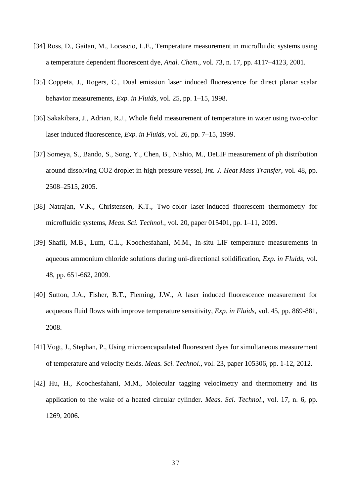- [34] Ross, D., Gaitan, M., Locascio, L.E., Temperature measurement in microfluidic systems using a temperature dependent fluorescent dye, *Anal. Chem*., vol. 73, n. 17, pp. 4117–4123, 2001.
- [35] Coppeta, J., Rogers, C., Dual emission laser induced fluorescence for direct planar scalar behavior measurements, *Exp. in Fluids*, vol. 25, pp. 1–15, 1998.
- [36] Sakakibara, J., Adrian, R.J., Whole field measurement of temperature in water using two-color laser induced fluorescence, *Exp. in Fluids*, vol. 26, pp. 7–15, 1999.
- [37] Someya, S., Bando, S., Song, Y., Chen, B., Nishio, M., DeLIF measurement of ph distribution around dissolving CO2 droplet in high pressure vessel, *Int. J. Heat Mass Transfer*, vol. 48, pp. 2508–2515, 2005.
- [38] Natrajan, V.K., Christensen, K.T., Two-color laser-induced fluorescent thermometry for microfluidic systems, *Meas. Sci. Technol.*, vol. 20, paper 015401, pp. 1–11, 2009.
- [39] Shafii, M.B., Lum, C.L., Koochesfahani, M.M., In-situ LIF temperature measurements in aqueous ammonium chloride solutions during uni-directional solidification, *Exp. in Fluids*, vol. 48, pp. 651-662, 2009.
- [40] Sutton, J.A., Fisher, B.T., Fleming, J.W., A laser induced fluorescence measurement for acqueous fluid flows with improve temperature sensitivity, *Exp. in Fluids*, vol. 45, pp. 869-881, 2008.
- [41] Vogt, J., Stephan, P., Using microencapsulated fluorescent dyes for simultaneous measurement of temperature and velocity fields. *Meas. Sci. Technol*., vol. 23, paper 105306, pp. 1-12, 2012.
- [42] Hu, H., Koochesfahani, M.M., Molecular tagging velocimetry and thermometry and its application to the wake of a heated circular cylinder. *Meas. Sci. Technol*., vol. 17, n. 6, pp. 1269, 2006.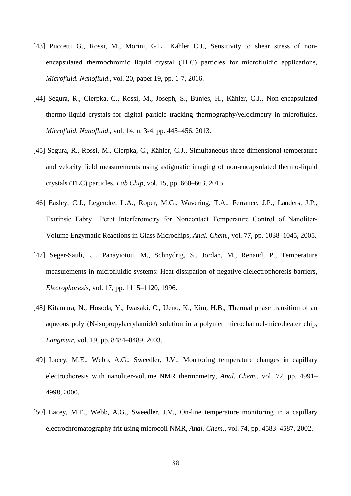- [43] Puccetti G., Rossi, M., Morini, G.L., Kähler C.J., Sensitivity to shear stress of nonencapsulated thermochromic liquid crystal (TLC) particles for microfluidic applications, *Microfluid. Nanofluid.*, vol. 20, paper 19, pp. 1-7, 2016.
- [44] Segura, R., Cierpka, C., Rossi, M., Joseph, S., Bunjes, H., Kähler, C.J., Non-encapsulated thermo liquid crystals for digital particle tracking thermography/velocimetry in microfluids. *Microfluid. Nanofluid.*, vol. 14, n. 3-4, pp. 445–456, 2013.
- [45] Segura, R., Rossi, M., Cierpka, C., Kähler, C.J., Simultaneous three-dimensional temperature and velocity field measurements using astigmatic imaging of non-encapsulated thermo-liquid crystals (TLC) particles, *Lab Chip*, vol. 15, pp. 660–663, 2015.
- [46] Easley, C.J., Legendre, L.A., Roper, M.G., Wavering, T.A., Ferrance, J.P., Landers, J.P., Extrinsic Fabry− Perot Interferometry for Noncontact Temperature Control of Nanoliter-Volume Enzymatic Reactions in Glass Microchips, *Anal. Chem.*, vol. 77, pp. 1038–1045, 2005.
- [47] Seger-Sauli, U., Panayiotou, M., Schnydrig, S., Jordan, M., Renaud, P., Temperature measurements in microfluidic systems: Heat dissipation of negative dielectrophoresis barriers, *Elecrophoresis*, vol. 17, pp. 1115–1120, 1996.
- [48] Kitamura, N., Hosoda, Y., Iwasaki, C., Ueno, K., Kim, H.B., Thermal phase transition of an aqueous poly (N-isopropylacrylamide) solution in a polymer microchannel-microheater chip, *Langmuir*, vol. 19, pp. 8484–8489, 2003.
- [49] Lacey, M.E., Webb, A.G., Sweedler, J.V., Monitoring temperature changes in capillary electrophoresis with nanoliter-volume NMR thermometry, *Anal. Chem.*, vol. 72, pp. 4991– 4998, 2000.
- [50] Lacey, M.E., Webb, A.G., Sweedler, J.V., On-line temperature monitoring in a capillary electrochromatography frit using microcoil NMR, *Anal. Chem.*, vol. 74, pp. 4583–4587, 2002.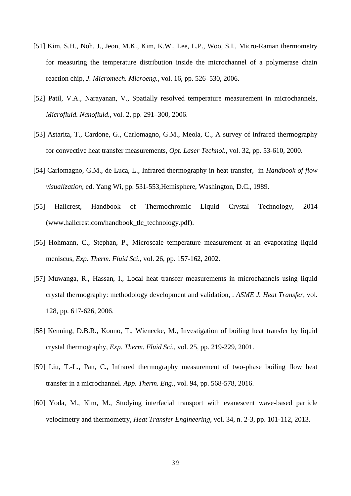- [51] Kim, S.H., Noh, J., Jeon, M.K., Kim, K.W., Lee, L.P., Woo, S.I., Micro-Raman thermometry for measuring the temperature distribution inside the microchannel of a polymerase chain reaction chip, *J. Micromech. Microeng.,* vol. 16, pp. 526–530, 2006.
- [52] Patil, V.A., Narayanan, V., Spatially resolved temperature measurement in microchannels, *Microfluid. Nanofluid.,* vol. 2, pp. 291–300, 2006.
- [53] Astarita, T., Cardone, G., Carlomagno, G.M., Meola, C., A survey of infrared thermography for convective heat transfer measurements, *Opt. Laser Technol.*, vol. 32, pp. 53-610, 2000.
- [54] Carlomagno, G.M., de Luca, L., Infrared thermography in heat transfer, in *Handbook of flow visualization,* ed. Yang Wi, pp. 531-553,Hemisphere, Washington, D.C., 1989.
- [55] Hallcrest, Handbook of Thermochromic Liquid Crystal Technology, 2014 (www.hallcrest.com/handbook\_tlc\_technology.pdf).
- [56] Hohmann, C., Stephan, P., Microscale temperature measurement at an evaporating liquid meniscus, *Exp. Therm. Fluid Sci.,* vol. 26, pp. 157-162, 2002.
- [57] Muwanga, R., Hassan, I., Local heat transfer measurements in microchannels using liquid crystal thermography: methodology development and validation, *. ASME J. Heat Transfer,* vol. 128, pp. 617-626, 2006.
- [58] Kenning, D.B.R., Konno, T., Wienecke, M., Investigation of boiling heat transfer by liquid crystal thermography, *Exp. Therm. Fluid Sci.,* vol. 25, pp. 219-229, 2001.
- [59] Liu, T.-L., Pan, C., Infrared thermography measurement of two-phase boiling flow heat transfer in a microchannel. *App. Therm. Eng.*, vol. 94, pp. 568-578, 2016.
- [60] Yoda, M., Kim, M., Studying interfacial transport with evanescent wave-based particle velocimetry and thermometry, *Heat Transfer Engineering*, vol. 34, n. 2-3, pp. 101-112, 2013.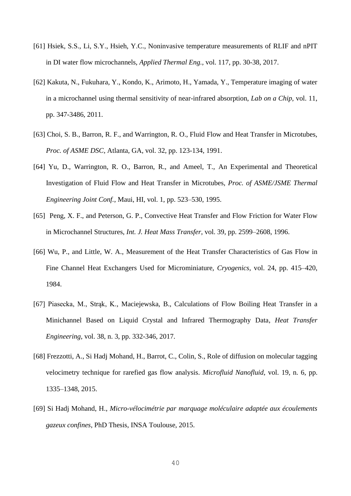- [61] Hsiek, S.S., Li, S.Y., Hsieh, Y.C., Noninvasive temperature measurements of RLIF and nPIT in DI water flow microchannels, *Applied Thermal Eng.,* vol. 117, pp. 30-38, 2017.
- [62] Kakuta, N., Fukuhara, Y., Kondo, K., Arimoto, H., Yamada, Y., Temperature imaging of water in a microchannel using thermal sensitivity of near-infrared absorption, *Lab on a Chip,* vol. 11, pp. 347-3486, 2011.
- [63] Choi, S. B., Barron, R. F., and Warrington, R. O., Fluid Flow and Heat Transfer in Microtubes, *Proc. of ASME DSC*, Atlanta, GA, vol. 32, pp. 123-134, 1991.
- [64] Yu, D., Warrington, R. O., Barron, R., and Ameel, T., An Experimental and Theoretical Investigation of Fluid Flow and Heat Transfer in Microtubes, *Proc. of ASME/JSME Thermal Engineering Joint Conf.*, Maui, HI, vol. 1, pp. 523–530, 1995.
- [65] Peng, X. F., and Peterson, G. P., Convective Heat Transfer and Flow Friction for Water Flow in Microchannel Structures, *Int. J. Heat Mass Transfer*, vol. 39, pp. 2599–2608, 1996.
- [66] Wu, P., and Little, W. A., Measurement of the Heat Transfer Characteristics of Gas Flow in Fine Channel Heat Exchangers Used for Microminiature, *Cryogenics*, vol. 24, pp. 415–420, 1984.
- [67] Piasecka, M., Strąk, K., Maciejewska, B., Calculations of Flow Boiling Heat Transfer in a Minichannel Based on Liquid Crystal and Infrared Thermography Data, *Heat Transfer Engineering*, vol. 38, n. 3, pp. 332-346, 2017.
- [68] Frezzotti, A., Si Hadj Mohand, H., Barrot, C., Colin, S., Role of diffusion on molecular tagging velocimetry technique for rarefied gas flow analysis. *Microfluid Nanofluid*, vol. 19, n. 6, pp. 1335–1348, 2015.
- [69] Si Hadj Mohand, H., *Micro-vélocimétrie par marquage moléculaire adaptée aux écoulements gazeux confines*, PhD Thesis, INSA Toulouse, 2015.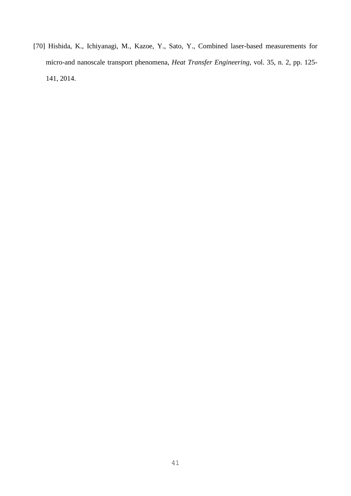[70] Hishida, K., Ichiyanagi, M., Kazoe, Y., Sato, Y., Combined laser-based measurements for micro-and nanoscale transport phenomena, *Heat Transfer Engineering*, vol. 35, n. 2, pp. 125- 141, 2014.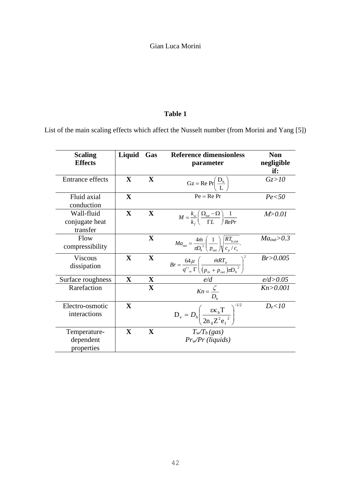# **Table 1**

List of the main scaling effects which affect the Nusselt number (from Morini and Yang [5])

| <b>Scaling</b>          | Liquid Gas   |             | <b>Reference dimensionless</b>                                                                        | <b>Non</b>       |
|-------------------------|--------------|-------------|-------------------------------------------------------------------------------------------------------|------------------|
| <b>Effects</b>          |              |             | parameter                                                                                             | negligible       |
|                         |              |             |                                                                                                       | if:              |
| <b>Entrance effects</b> | $\mathbf{X}$ | $\mathbf X$ | Gz = Re Pr $\left(\frac{D_h}{L}\right)$                                                               | Gz>10            |
| Fluid axial             | $\mathbf{X}$ |             | $Pe = Re Pr$                                                                                          | Pe <sub>50</sub> |
| conduction              |              |             |                                                                                                       |                  |
| Wall-fluid              | $\mathbf X$  | $\mathbf X$ | $M = \frac{k_w}{k_s} \left( \frac{\Omega_{tot} - \Omega}{\Gamma L} \right) \frac{1}{RePr}$            | M > 0.01         |
| conjugate heat          |              |             |                                                                                                       |                  |
| transfer                |              |             |                                                                                                       |                  |
| Flow                    |              | $\mathbf X$ |                                                                                                       | $Ma_{out} > 0.3$ |
| compressibility         |              |             | $Ma_{out} = \frac{4m}{\pi D_h^2} \left( \frac{1}{p_{out}} \right) \sqrt{\frac{RT_{b,out}}{c_n/c_v}}.$ |                  |
| <b>Viscous</b>          | $\mathbf X$  | $\mathbf X$ |                                                                                                       | Br > 0.005       |
| dissipation             |              |             | $Br = \frac{64 \mu}{q'_{w} \Gamma} \left( \frac{mRT_b}{(p_{in} + p_{out}) \pi D_h^2} \right)^2$       |                  |
| Surface roughness       | $\mathbf X$  | X           |                                                                                                       | e/d > 0.05       |
| Rarefaction             |              | $\mathbf X$ | $\frac{e/d}{Kn = \frac{\zeta}{D_h}}$                                                                  | Kn > 0.001       |
|                         |              |             |                                                                                                       |                  |
| Electro-osmotic         | $\mathbf X$  |             |                                                                                                       | $D_e$ <10        |
| interactions            |              |             | $D_e = D_h \left( \frac{\epsilon \kappa_b T}{2 n_e Z^2 e_e^2} \right)^{1/2}$                          |                  |
|                         |              |             |                                                                                                       |                  |
| Temperature-            | $\mathbf X$  | $\mathbf X$ | $T_w/T_b(gas)$                                                                                        |                  |
| dependent               |              |             | $Pr_w/Pr$ (liquids)                                                                                   |                  |
| properties              |              |             |                                                                                                       |                  |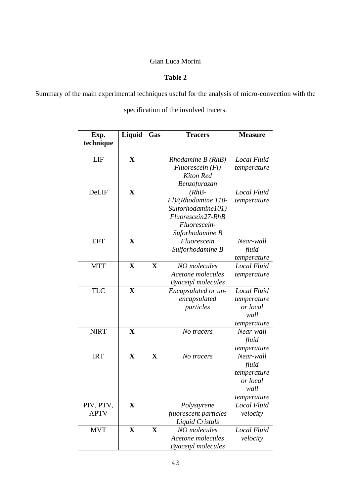# **Table 2**

Summary of the main experimental techniques useful for the analysis of micro-convection with the

specification of the involved tracers.

| Exp.<br>technique | Liquid      | Gas         | <b>Tracers</b>            | <b>Measure</b>     |
|-------------------|-------------|-------------|---------------------------|--------------------|
| LIF               | $\mathbf X$ |             | Rhodamine B (RhB)         | Local Fluid        |
|                   |             |             | Fluorescein (Fl)          | temperature        |
|                   |             |             | Kiton Red                 |                    |
|                   |             |             | Benzofurazan              |                    |
| <b>DeLIF</b>      | $\mathbf X$ |             | $(RhB -$                  | Local Fluid        |
|                   |             |             | Fl)/(Rhodamine 110-       | temperature        |
|                   |             |             | Sulforhodamine101)        |                    |
|                   |             |             | Fluorescein27-RhB         |                    |
|                   |             |             | Fluorescein-              |                    |
|                   |             |             | Suforhodamine B           |                    |
| <b>EFT</b>        | $\mathbf X$ |             | <i>Fluorescein</i>        | Near-wall          |
|                   |             |             | Sulforhodamine B          | fluid              |
|                   |             |             |                           | temperature        |
| <b>MTT</b>        | $\mathbf X$ | $\mathbf X$ | NO molecules              | <b>Local Fluid</b> |
|                   |             |             | Acetone molecules         | temperature        |
|                   |             |             | <b>Byacetyl</b> molecules |                    |
| <b>TLC</b>        | $\mathbf X$ |             | Encapsulated or un-       | <b>Local Fluid</b> |
|                   |             |             | encapsulated              | temperature        |
|                   |             |             | particles                 | or local           |
|                   |             |             |                           | wall               |
|                   |             |             |                           | temperature        |
| <b>NIRT</b>       | $\mathbf X$ |             | No tracers                | Near-wall          |
|                   |             |             |                           | fluid              |
|                   |             |             |                           | temperature        |
| <b>IRT</b>        | $\mathbf X$ | $\mathbf X$ | No tracers                | Near-wall          |
|                   |             |             |                           | fluid              |
|                   |             |             |                           | temperature        |
|                   |             |             |                           | or local           |
|                   |             |             |                           | wall               |
|                   |             |             |                           | temperature        |
| PIV, PTV,         | $\mathbf X$ |             | Polystyrene               | <b>Local Fluid</b> |
| <b>APTV</b>       |             |             | fluorescent particles     | velocity           |
|                   |             |             | Liquid Cristals           |                    |
| <b>MVT</b>        | $\mathbf X$ | $\mathbf X$ | NO molecules              | <b>Local Fluid</b> |
|                   |             |             | Acetone molecules         | velocity           |
|                   |             |             | <b>Byacetyl</b> molecules |                    |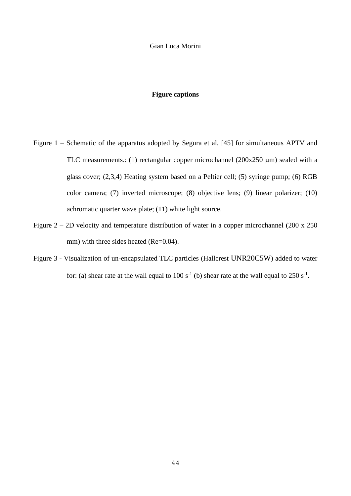#### **Figure captions**

- Figure 1 Schematic of the apparatus adopted by Segura et al. [45] for simultaneous APTV and TLC measurements.: (1) rectangular copper microchannel (200x250  $\mu$ m) sealed with a glass cover; (2,3,4) Heating system based on a Peltier cell; (5) syringe pump; (6) RGB color camera; (7) inverted microscope; (8) objective lens; (9) linear polarizer; (10) achromatic quarter wave plate; (11) white light source.
- Figure 2 2D velocity and temperature distribution of water in a copper microchannel (200 x 250 mm) with three sides heated (Re=0.04).
- Figure 3 Visualization of un-encapsulated TLC particles (Hallcrest UNR20C5W) added to water for: (a) shear rate at the wall equal to 100 s<sup>-1</sup> (b) shear rate at the wall equal to 250 s<sup>-1</sup>.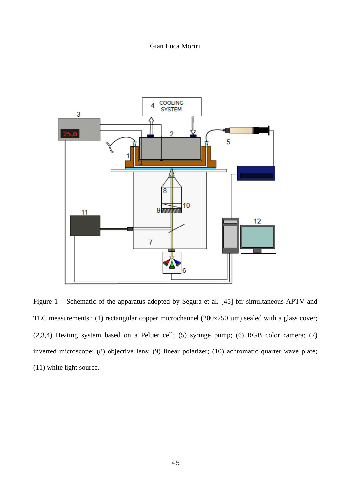

Figure 1 – Schematic of the apparatus adopted by Segura et al. [45] for simultaneous APTV and TLC measurements.: (1) rectangular copper microchannel ( $200x250 \mu m$ ) sealed with a glass cover; (2,3,4) Heating system based on a Peltier cell; (5) syringe pump; (6) RGB color camera; (7) inverted microscope; (8) objective lens; (9) linear polarizer; (10) achromatic quarter wave plate; (11) white light source.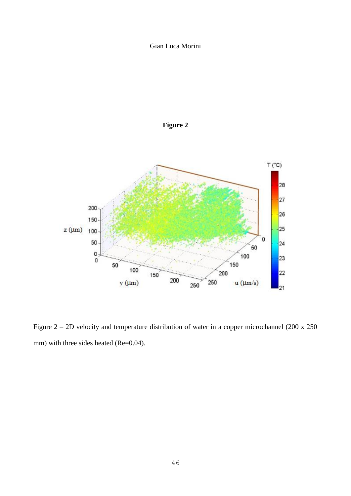



Figure 2 – 2D velocity and temperature distribution of water in a copper microchannel (200 x 250 mm) with three sides heated (Re=0.04).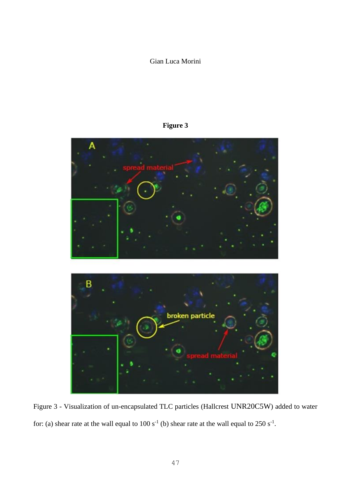# **Figure 3**



Figure 3 - Visualization of un-encapsulated TLC particles (Hallcrest UNR20C5W) added to water for: (a) shear rate at the wall equal to 100 s<sup>-1</sup> (b) shear rate at the wall equal to 250 s<sup>-1</sup>.